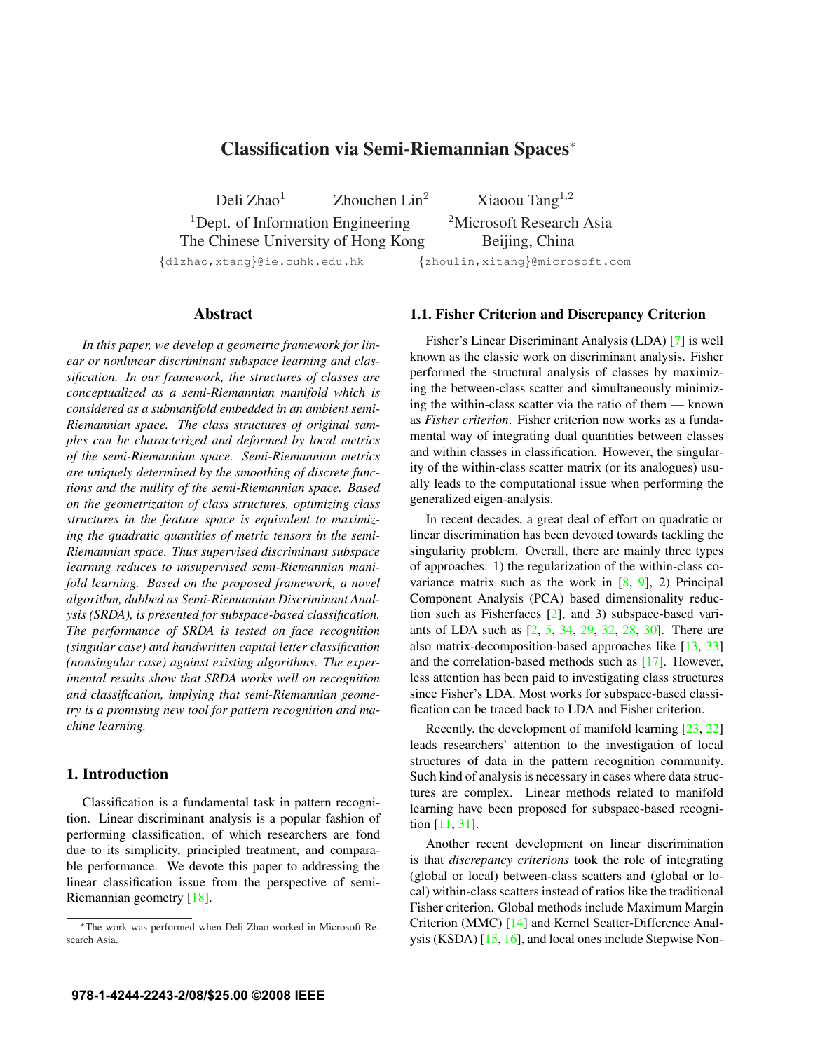# Classification via Semi-Riemannian Spaces<sup>∗</sup>

Deli Zhao<sup>1</sup> Zhouchen Lin<sup>2</sup> Xiaoou Tang<sup>1,2</sup> <sup>1</sup>Dept. of Information Engineering  $\frac{2\text{Microsoft Research Asia}}{2}$ The Chinese University of Hong Kong Beijing, China

{dlzhao,xtang}@ie.cuhk.edu.hk {zhoulin,xitang}@microsoft.com

### Abstract

*In this paper, we develop a geometric framework for linear or nonlinear discriminant subspace learning and classification. In our framework, the structures of classes are conceptualized as a semi-Riemannian manifold which is considered as a submanifold embedded in an ambient semi-Riemannian space. The class structures of original samples can be characterized and deformed by local metrics of the semi-Riemannian space. Semi-Riemannian metrics are uniquely determined by the smoothing of discrete functions and the nullity of the semi-Riemannian space. Based on the geometrization of class structures, optimizing class structures in the feature space is equivalent to maximizing the quadratic quantities of metric tensors in the semi-Riemannian space. Thus supervised discriminant subspace learning reduces to unsupervised semi-Riemannian manifold learning. Based on the proposed framework, a novel algorithm, dubbed as Semi-Riemannian Discriminant Analysis (SRDA), is presented for subspace-based classification. The performance of SRDA is tested on face recognition (singular case) and handwritten capital letter classification (nonsingular case) against existing algorithms. The experimental results show that SRDA works well on recognition and classification, implying that semi-Riemannian geometry is a promising new tool for pattern recognition and machine learning.*

# 1. Introduction

Classification is a fundamental task in pattern recognition. Linear discriminant analysis is a popular fashion of performing classification, of which researchers are fond due to its simplicity, principled treatment, and comparable performance. We devote this paper to addressing the linear classification issue from the perspective of semi-Riemannian geometry [18].

### 1.1. Fisher Criterion and Discrepancy Criterion

Fisher's Linear Discriminant Analysis (LDA) [7] is well known as the classic work on discriminant analysis. Fisher performed the structural analysis of classes by maximizing the between-class scatter and simultaneously minimizing the within-class scatter via the ratio of them — known as *Fisher criterion*. Fisher criterion now works as a fundamental way of integrating dual quantities between classes and within classes in classification. However, the singularity of the within-class scatter matrix (or its analogues) usually leads to the computational issue when performing the generalized eigen-analysis.

In recent decades, a great deal of effort on quadratic or linear discrimination has been devoted towards tackling the singularity problem. Overall, there are mainly three types of approaches: 1) the regularization of the within-class covariance matrix such as the work in  $[8, 9]$ , 2) Principal Component Analysis (PCA) based dimensionality reduction such as Fisherfaces [2], and 3) subspace-based variants of LDA such as [2, 5, 34, 29, 32, 28, 30]. There are also matrix-decomposition-based approaches like [13, 33] and the correlation-based methods such as [17]. However, less attention has been paid to investigating class structures since Fisher's LDA. Most works for subspace-based classification can be traced back to LDA and Fisher criterion.

Recently, the development of manifold learning [23, 22] leads researchers' attention to the investigation of local structures of data in the pattern recognition community. Such kind of analysis is necessary in cases where data structures are complex. Linear methods related to manifold learning have been proposed for subspace-based recognition [11, 31].

Another recent development on linear discrimination is that *discrepancy criterions* took the role of integrating (global or local) between-class scatters and (global or local) within-class scatters instead of ratios like the traditional Fisher criterion. Global methods include Maximum Margin Criterion (MMC) [14] and Kernel Scatter-Difference Analysis (KSDA) [15, 16], and local ones include Stepwise Non-

<sup>∗</sup>The work was performed when Deli Zhao worked in Microsoft Research Asia.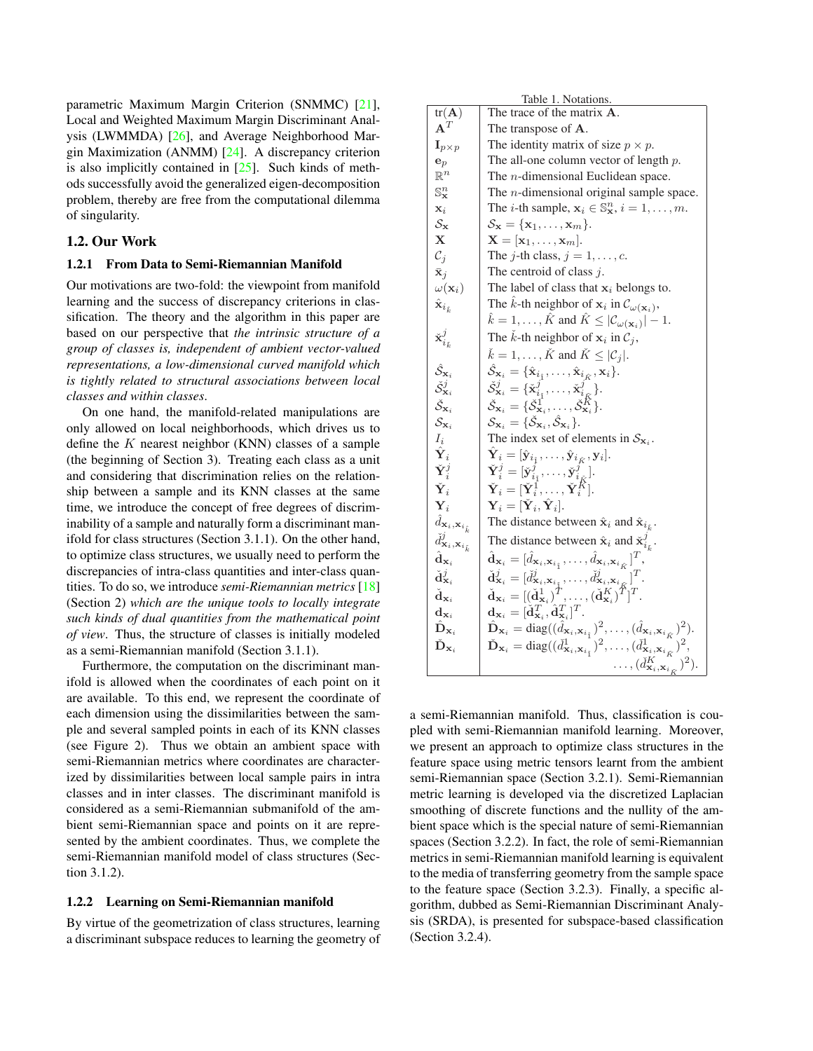parametric Maximum Margin Criterion (SNMMC) [21], Local and Weighted Maximum Margin Discriminant Analysis (LWMMDA) [26], and Average Neighborhood Margin Maximization (ANMM) [24]. A discrepancy criterion is also implicitly contained in  $[25]$ . Such kinds of methods successfully avoid the generalized eigen-decomposition problem, thereby are free from the computational dilemma of singularity.

# 1.2. Our Work

### 1.2.1 From Data to Semi-Riemannian Manifold

Our motivations are two-fold: the viewpoint from manifold learning and the success of discrepancy criterions in classification. The theory and the algorithm in this paper are based on our perspective that *the intrinsic structure of a group of classes is, independent of ambient vector-valued representations, a low-dimensional curved manifold which is tightly related to structural associations between local classes and within classes*.

On one hand, the manifold-related manipulations are only allowed on local neighborhoods, which drives us to define the  $K$  nearest neighbor (KNN) classes of a sample (the beginning of Section 3). Treating each class as a unit and considering that discrimination relies on the relationship between a sample and its KNN classes at the same time, we introduce the concept of free degrees of discriminability of a sample and naturally form a discriminant manifold for class structures (Section 3.1.1). On the other hand, to optimize class structures, we usually need to perform the discrepancies of intra-class quantities and inter-class quantities. To do so, we introduce *semi-Riemannian metrics* [18] (Section 2) *which are the unique tools to locally integrate such kinds of dual quantities from the mathematical point of view*. Thus, the structure of classes is initially modeled as a semi-Riemannian manifold (Section 3.1.1).

Furthermore, the computation on the discriminant manifold is allowed when the coordinates of each point on it are available. To this end, we represent the coordinate of each dimension using the dissimilarities between the sample and several sampled points in each of its KNN classes (see Figure 2). Thus we obtain an ambient space with semi-Riemannian metrics where coordinates are characterized by dissimilarities between local sample pairs in intra classes and in inter classes. The discriminant manifold is considered as a semi-Riemannian submanifold of the ambient semi-Riemannian space and points on it are represented by the ambient coordinates. Thus, we complete the semi-Riemannian manifold model of class structures (Section 3.1.2).

#### 1.2.2 Learning on Semi-Riemannian manifold

By virtue of the geometrization of class structures, learning a discriminant subspace reduces to learning the geometry of

| Table 1. Notations.                                     |                                                                                                                                                                                                                                                                                                 |  |  |  |
|---------------------------------------------------------|-------------------------------------------------------------------------------------------------------------------------------------------------------------------------------------------------------------------------------------------------------------------------------------------------|--|--|--|
| $tr(\mathbf{A})$                                        | The trace of the matrix <b>A</b> .                                                                                                                                                                                                                                                              |  |  |  |
| $\mathbf{A}^T$                                          | The transpose of A.                                                                                                                                                                                                                                                                             |  |  |  |
| $\mathbf{I}_{p\times p}$                                | The identity matrix of size $p \times p$ .                                                                                                                                                                                                                                                      |  |  |  |
| $\mathbf{e}_p$                                          | The all-one column vector of length $p$ .                                                                                                                                                                                                                                                       |  |  |  |
| $\mathbb{R}^n$                                          | The $n$ -dimensional Euclidean space.                                                                                                                                                                                                                                                           |  |  |  |
| $\mathbb{S}^n_{\mathbf{x}}$                             | The $n$ -dimensional original sample space.                                                                                                                                                                                                                                                     |  |  |  |
| $\mathbf{x}_i$                                          | The <i>i</i> -th sample, $\mathbf{x}_i \in \mathbb{S}_{\mathbf{x}}^n$ , $i = 1, \ldots, m$ .                                                                                                                                                                                                    |  |  |  |
| $\mathcal{S}_{\mathbf{x}}$                              | $\mathcal{S}_{\mathbf{x}} = {\mathbf{x}_1, \dots, \mathbf{x}_m}.$                                                                                                                                                                                                                               |  |  |  |
| $\mathbf X$                                             | $\mathbf{X} = [\mathbf{x}_1, \dots, \mathbf{x}_m].$                                                                                                                                                                                                                                             |  |  |  |
| $\mathcal{C}_j$                                         | The <i>j</i> -th class, $j = 1, \ldots, c$ .                                                                                                                                                                                                                                                    |  |  |  |
| $\bar{\mathbf{x}}_j$                                    | The centroid of class $j$ .                                                                                                                                                                                                                                                                     |  |  |  |
| $\omega(\mathbf{x}_i)$                                  | The label of class that $x_i$ belongs to.                                                                                                                                                                                                                                                       |  |  |  |
| $\hat{\mathbf{x}}_{i_{\hat{k}}}$                        | The $\hat{k}$ -th neighbor of $x_i$ in $\mathcal{C}_{\omega(\mathbf{x}_i)}$ ,                                                                                                                                                                                                                   |  |  |  |
|                                                         | $\hat{k} = 1, \ldots, \hat{K}$ and $\hat{K} \leq  \mathcal{C}_{\omega(\mathbf{x}_i)}  - 1$ .                                                                                                                                                                                                    |  |  |  |
| $\check{\mathbf{x}}_{i_L}^j$                            | The $\check{k}$ -th neighbor of $x_i$ in $\mathcal{C}_j$ ,                                                                                                                                                                                                                                      |  |  |  |
|                                                         | $\check{k} = 1, \ldots, \check{K}$ and $\check{K} \leq  \mathcal{C}_i .$                                                                                                                                                                                                                        |  |  |  |
| $\hat{\mathcal{S}}_{\mathbf{x}_i}$                      | $\hat{\mathcal{S}}_{\mathbf{x}_i} = \{ \hat{\mathbf{x}}_{i_{\hat{1}}}, \dots, \hat{\mathbf{x}}_{i_{\hat{K}}}, \mathbf{x}_i \}.$                                                                                                                                                                 |  |  |  |
| $\check{\mathcal{S}}^j_{\mathbf{x}_i}$                  | $\check{\mathcal{S}}^j_{\mathbf{x}_i} = \{\check{\mathbf{x}}^j_{i_{\check{1}}}, \dots, \check{\mathbf{x}}^j_{i_{\check{K}}}\}.$                                                                                                                                                                 |  |  |  |
| $\check{\mathcal{S}}_{\textbf{x}_i}$                    | $\check{\mathcal{S}}_{\mathbf{x}_i} = \{\check{\mathcal{S}}_{\mathbf{x}_i}^1, \ldots, \check{\mathcal{S}}_{\mathbf{x}_i}^K\}.$                                                                                                                                                                  |  |  |  |
| $\mathcal{S}_{\mathbf{x}_i}$                            | $\mathcal{S}_{\mathbf{x}_i} = \{ \check{\mathcal{S}}_{\mathbf{x}_i}, \hat{\mathcal{S}}_{\mathbf{x}_i} \}.$                                                                                                                                                                                      |  |  |  |
| $I_i$                                                   | The index set of elements in $S_{\mathbf{x}_i}$ .                                                                                                                                                                                                                                               |  |  |  |
| $\hat{\mathbf{Y}}_i$                                    | $\hat{\textbf{Y}}_i=[\hat{\textbf{y}}_{i_{\hat{1}}},\ldots,\hat{\textbf{y}}_{i_{\hat{K}}},\textbf{y}_i].$                                                                                                                                                                                       |  |  |  |
| $\check{\mathbf{Y}}_i^j$                                |                                                                                                                                                                                                                                                                                                 |  |  |  |
| $\check{\mathbf{Y}}_i$                                  | $\check{\mathbf{Y}}^j_i = [\check{\mathbf{y}}^j_{i_1}, \dots, \check{\mathbf{y}}^j_{i_K}].\ \check{\mathbf{Y}}_i = [\check{\mathbf{Y}}^1_i, \dots, \check{\mathbf{Y}}^K_i].$                                                                                                                    |  |  |  |
| $\mathbf{Y}_i$                                          | $\mathbf{Y}_i = [\check{\mathbf{Y}}_i, \check{\mathbf{Y}}_i].$                                                                                                                                                                                                                                  |  |  |  |
| $\hat{d}_{\mathbf{x}_i, \mathbf{x}_{i_k}}$              | The distance between $\hat{\mathbf{x}}_i$ and $\hat{\mathbf{x}}_{i_k}$ .                                                                                                                                                                                                                        |  |  |  |
| $\check{d}^j_{\mathbf{x}_i,\mathbf{x}_{i_{\check{k}}}}$ | The distance between $\hat{\mathbf{x}}_i$ and $\check{\mathbf{x}}_{i_k}^j$ .                                                                                                                                                                                                                    |  |  |  |
| $\hat{\mathbf{d}}_{\mathbf{x}_i}$                       | $\hat{\mathbf{d}}_{\mathbf{x}_i} = [\hat{d}_{\mathbf{x}_i, \mathbf{x}_{i_{\hat{1}}}}, \dots, \hat{d}_{\mathbf{x}_i, \mathbf{x}_{i_{\hat{K}}}}]^T,$                                                                                                                                              |  |  |  |
| $\check{\textbf{d}}^j_{\textbf{x}_i}$                   | $\check{\mathbf{d}}_{\mathbf{x}_i}^j = [\check{d}_{\mathbf{x}_i, \mathbf{x}_{i_{\bar{i}}}}, \dots, \check{d}_{\mathbf{x}_i, \mathbf{x}_{i_{\bar{i}}}}^j]^T, \ \check{\mathbf{d}}_{\mathbf{x}_i} = [(\check{\mathbf{d}}_{\mathbf{x}_i}^1)^T, \dots, (\check{\mathbf{d}}_{\mathbf{x}_i}^K)^T]^T.$ |  |  |  |
| $\check{\mathbf{d}}_{\mathbf{x}_i}$                     |                                                                                                                                                                                                                                                                                                 |  |  |  |
| $\mathbf{d}_{\mathbf{x}_i}$                             | $\mathbf{d}_{\mathbf{x}_i} = [\check{\mathbf{d}}^T_{\mathbf{x}_i}, \hat{\mathbf{d}}^T_{\mathbf{x}_i}]^T.$                                                                                                                                                                                       |  |  |  |
| $\hat{\mathbf{D}}_{\mathbf{x}_i}$                       | $\hat{\mathbf{D}}_{\mathbf{x}_i} = \text{diag}((\hat{d}_{\mathbf{x}_i, \mathbf{x}_{i_i}})^2, \dots, (\hat{d}_{\mathbf{x}_i, \mathbf{x}_{i_{\hat{K}}}})^2).$                                                                                                                                     |  |  |  |
| $\check{\mathbf{D}}_{\mathbf{x}_i}$                     | $\tilde{\mathbf{D}}_{\mathbf{x}_i} = \text{diag}((\check{d}^1_{\mathbf{x}_i, \mathbf{x}_{i_i}})^2, \dots, (\check{d}^1_{\mathbf{x}_i, \mathbf{x}_{i_{\tilde{K}}}})^2)$                                                                                                                          |  |  |  |
|                                                         | $\ldots, (\check{d}^{K}_{\mathbf{x}_{i},\mathbf{x}_{i_{\check{\kappa}}}})^{2}).$                                                                                                                                                                                                                |  |  |  |

a semi-Riemannian manifold. Thus, classification is coupled with semi-Riemannian manifold learning. Moreover, we present an approach to optimize class structures in the feature space using metric tensors learnt from the ambient semi-Riemannian space (Section 3.2.1). Semi-Riemannian metric learning is developed via the discretized Laplacian smoothing of discrete functions and the nullity of the ambient space which is the special nature of semi-Riemannian spaces (Section 3.2.2). In fact, the role of semi-Riemannian metrics in semi-Riemannian manifold learning is equivalent to the media of transferring geometry from the sample space to the feature space (Section 3.2.3). Finally, a specific algorithm, dubbed as Semi-Riemannian Discriminant Analysis (SRDA), is presented for subspace-based classification (Section 3.2.4).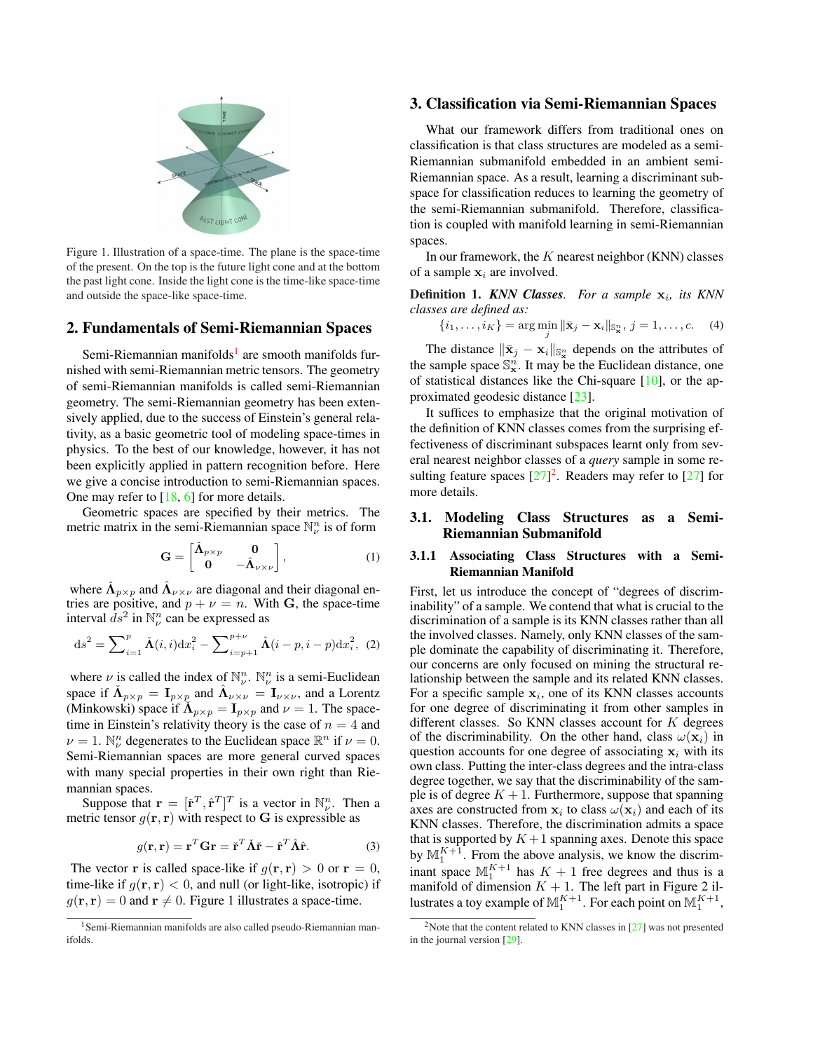

Figure 1. Illustration of a space-time. The plane is the space-time of the present. On the top is the future light cone and at the bottom the past light cone. Inside the light cone is the time-like space-time and outside the space-like space-time.

# 2. Fundamentals of Semi-Riemannian Spaces

Semi-Riemannian manifolds<sup>1</sup> are smooth manifolds furnished with semi-Riemannian metric tensors. The geometry of semi-Riemannian manifolds is called semi-Riemannian geometry. The semi-Riemannian geometry has been extensively applied, due to the success of Einstein's general relativity, as a basic geometric tool of modeling space-times in physics. To the best of our knowledge, however, it has not been explicitly applied in pattern recognition before. Here we give a concise introduction to semi-Riemannian spaces. One may refer to  $[18, 6]$  for more details.

Geometric spaces are specified by their metrics. The metric matrix in the semi-Riemannian space  $\mathbb{N}_{\nu}^{n}$  is of form

$$
\mathbf{G} = \begin{bmatrix} \mathbf{\tilde{\Lambda}}_{p \times p} & \mathbf{0} \\ \mathbf{0} & -\mathbf{\hat{\Lambda}}_{\nu \times \nu} \end{bmatrix},
$$
 (1)

where  $\check{\Lambda}_{p\times p}$  and  $\hat{\Lambda}_{\nu\times\nu}$  are diagonal and their diagonal entries are positive, and  $p + \nu = n$ . With G, the space-time interval  $ds^2$  in  $\mathbb{N}^n_\nu$  can be expressed as

$$
ds^{2} = \sum_{i=1}^{p} \tilde{\mathbf{\Lambda}}(i,i) dx_{i}^{2} - \sum_{i=p+1}^{p+\nu} \hat{\mathbf{\Lambda}}(i-p,i-p) dx_{i}^{2}, (2)
$$

where  $\nu$  is called the index of  $\mathbb{N}_{\nu}^n$ .  $\mathbb{N}_{\nu}^n$  is a semi-Euclidean space if  $\tilde{\Lambda}_{p \times p} = I_{p \times p}$  and  $\hat{\Lambda}_{\nu \times \nu} = I_{\nu \times \nu}$ , and a Lorentz (Minkowski) space if  $\tilde{\Lambda}_{p \times p} = I_{p \times p}$  and  $\nu = 1$ . The spacetime in Einstein's relativity theory is the case of  $n = 4$  and  $\nu = 1$ .  $\mathbb{N}^n_\nu$  degenerates to the Euclidean space  $\mathbb{R}^n$  if  $\nu = 0$ . Semi-Riemannian spaces are more general curved spaces with many special properties in their own right than Riemannian spaces.

Suppose that  $\mathbf{r} = [\dot{\mathbf{r}}^T, \hat{\mathbf{r}}^T]^T$  is a vector in  $\mathbb{N}_{\nu}^n$ . Then a metric tensor  $g(\mathbf{r}, \mathbf{r})$  with respect to G is expressible as

$$
g(\mathbf{r}, \mathbf{r}) = \mathbf{r}^T \mathbf{G} \mathbf{r} = \check{\mathbf{r}}^T \check{\mathbf{\Lambda}} \check{\mathbf{r}} - \hat{\mathbf{r}}^T \hat{\mathbf{\Lambda}} \hat{\mathbf{r}}.
$$
 (3)

The vector **r** is called space-like if  $g(\mathbf{r}, \mathbf{r}) > 0$  or  $\mathbf{r} = 0$ , time-like if  $q(\mathbf{r}, \mathbf{r}) < 0$ , and null (or light-like, isotropic) if  $g(\mathbf{r}, \mathbf{r}) = 0$  and  $\mathbf{r} \neq 0$ . Figure 1 illustrates a space-time.

# 3. Classification via Semi-Riemannian Spaces

What our framework differs from traditional ones on classification is that class structures are modeled as a semi-Riemannian submanifold embedded in an ambient semi-Riemannian space. As a result, learning a discriminant subspace for classification reduces to learning the geometry of the semi-Riemannian submanifold. Therefore, classification is coupled with manifold learning in semi-Riemannian spaces.

In our framework, the  $K$  nearest neighbor (KNN) classes of a sample  $x_i$  are involved.

Definition 1. *KNN Classes. For a sample*  $x_i$ , *its KNN classes are defined as:*

$$
\{i_1,\ldots,i_K\} = \arg\min_j \|\bar{\mathbf{x}}_j - \mathbf{x}_i\|_{\mathbb{S}_{\mathbf{x}}^n}, j = 1,\ldots,c.
$$
 (4)

The distance  $\|\bar{\mathbf{x}}_j - \mathbf{x}_i\|_{\mathbb{S}^n_{\mathbf{x}}}$  depends on the attributes of the sample space  $\mathbb{S}_{\mathbf{x}}^n$ . It may be the Euclidean distance, one of statistical distances like the Chi-square [10], or the approximated geodesic distance [23].

It suffices to emphasize that the original motivation of the definition of KNN classes comes from the surprising effectiveness of discriminant subspaces learnt only from several nearest neighbor classes of a *query* sample in some resulting feature spaces  $[27]^2$ . Readers may refer to  $[27]$  for more details.

# 3.1. Modeling Class Structures as a Semi-Riemannian Submanifold

# 3.1.1 Associating Class Structures with a Semi-Riemannian Manifold

First, let us introduce the concept of "degrees of discriminability" of a sample. We contend that what is crucial to the discrimination of a sample is its KNN classes rather than all the involved classes. Namely, only KNN classes of the sample dominate the capability of discriminating it. Therefore, our concerns are only focused on mining the structural relationship between the sample and its related KNN classes. For a specific sample  $x_i$ , one of its KNN classes accounts for one degree of discriminating it from other samples in different classes. So KNN classes account for  $K$  degrees of the discriminability. On the other hand, class  $\omega(\mathbf{x}_i)$  in question accounts for one degree of associating  $x_i$  with its own class. Putting the inter-class degrees and the intra-class degree together, we say that the discriminability of the sample is of degree  $K + 1$ . Furthermore, suppose that spanning axes are constructed from  $\mathbf{x}_i$  to class  $\omega(\mathbf{x}_i)$  and each of its KNN classes. Therefore, the discrimination admits a space that is supported by  $K+1$  spanning axes. Denote this space by  $\mathbb{M}_1^{K+1}$ . From the above analysis, we know the discrimby  $\frac{1}{1}$ . Then the above analysis, we know the discrim-<br>inant space  $M_1^{K+1}$  has  $K + 1$  free degrees and thus is a manifold of dimension  $K + 1$ . The left part in Figure 2 illustrates a toy example of  $\mathbb{M}_1^{K+1}$ . For each point on  $\mathbb{M}_1^{K+1}$ ,

<sup>1</sup>Semi-Riemannian manifolds are also called pseudo-Riemannian manifolds.

<sup>&</sup>lt;sup>2</sup>Note that the content related to KNN classes in  $[27]$  was not presented in the journal version [29].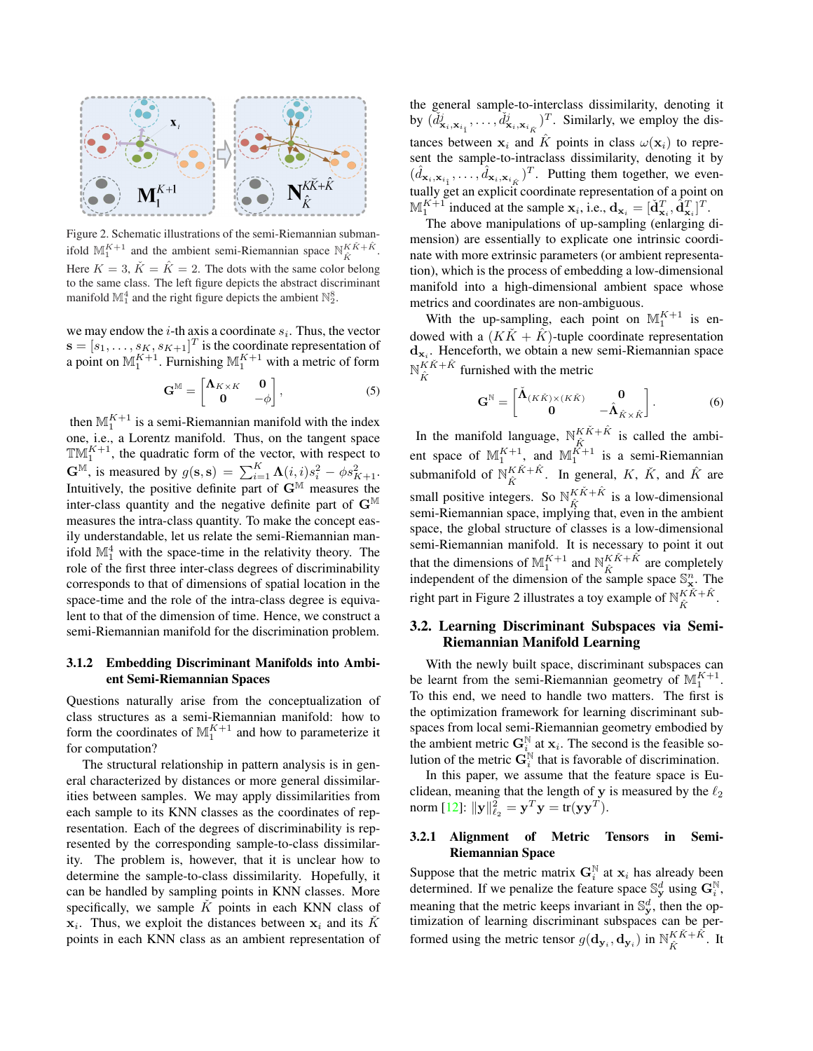

Figure 2. Schematic illustrations of the semi-Riemannian submanifold  $\mathbb{M}_1^{K+1}$  and the ambient semi-Riemannian space  $\mathbb{N}_{\hat{K}}^{K\check{K}+\hat{K}}$ . Here  $K = 3$ ,  $\check{K} = \hat{K} = 2$ . The dots with the same color belong to the same class. The left figure depicts the abstract discriminant manifold  $\mathbb{M}_1^4$  and the right figure depicts the ambient  $\mathbb{N}_2^8$ .

we may endow the  $i$ -th axis a coordinate  $s_i$ . Thus, the vector  $\mathbf{s} = [s_1, \dots, s_K, s_{K+1}]^T$  is the coordinate representation of a point on  $\mathbb{M}_1^{K+1}$ . Furnishing  $\mathbb{M}_1^{K+1}$  with a metric of form

$$
\mathbf{G}^{\mathbb{M}} = \begin{bmatrix} \mathbf{\Lambda}_{K \times K} & \mathbf{0} \\ \mathbf{0} & -\phi \end{bmatrix}, \tag{5}
$$

then  $\mathbb{M}_1^{K+1}$  is a semi-Riemannian manifold with the index one, i.e., a Lorentz manifold. Thus, on the tangent space  $\mathbb{T}M_1^{K+1}$ , the quadratic form of the vector, with respect to  $\mathbf{G}^{\mathbb{M}}$ , is measured by  $g(\mathbf{s}, \mathbf{s}) = \sum_{i=1}^{K} \mathbf{\Lambda}(i, i) s_i^2 - \phi s_{K+1}^2$ . Intuitively, the positive definite part of  $G^{\mathbb{M}}$  measures the inter-class quantity and the negative definite part of  $G^{\mathbb{M}}$ measures the intra-class quantity. To make the concept easily understandable, let us relate the semi-Riemannian manifold  $\mathbb{M}^4_1$  with the space-time in the relativity theory. The role of the first three inter-class degrees of discriminability corresponds to that of dimensions of spatial location in the space-time and the role of the intra-class degree is equivalent to that of the dimension of time. Hence, we construct a semi-Riemannian manifold for the discrimination problem.

# 3.1.2 Embedding Discriminant Manifolds into Ambient Semi-Riemannian Spaces

Questions naturally arise from the conceptualization of class structures as a semi-Riemannian manifold: how to form the coordinates of  $\mathbb{M}_1^{K+1}$  and how to parameterize it for computation?

The structural relationship in pattern analysis is in general characterized by distances or more general dissimilarities between samples. We may apply dissimilarities from each sample to its KNN classes as the coordinates of representation. Each of the degrees of discriminability is represented by the corresponding sample-to-class dissimilarity. The problem is, however, that it is unclear how to determine the sample-to-class dissimilarity. Hopefully, it can be handled by sampling points in KNN classes. More specifically, we sample  $\check{K}$  points in each KNN class of  $\mathbf{x}_i$ . Thus, we exploit the distances between  $\mathbf{x}_i$  and its  $\check{K}$ points in each KNN class as an ambient representation of the general sample-to-interclass dissimilarity, denoting it by  $(\tilde{d}^j_{\mathbf{x}_i,\mathbf{x}_{i_1}},\ldots,\tilde{d}^j_{\mathbf{x}_i,\mathbf{x}_{i_{\tilde{K}}}})^T$ . Similarly, we employ the distances between  $x_i$  and  $\hat{K}$  points in class  $\omega(\mathbf{x}_i)$  to represent the sample-to-intraclass dissimilarity, denoting it by  $(\hat{d}_{\mathbf{x}_i, \mathbf{x}_{i_{\hat{1}}}}, \ldots, \hat{d}_{\mathbf{x}_i, \mathbf{x}_{i_{\hat{K}}}})^T$ . Putting them together, we eventually get an explicit coordinate representation of a point on  $\mathbb{M}_1^{K+1}$  induced at the sample  $\mathbf{x}_i$ , i.e.,  $\mathbf{d}_{\mathbf{x}_i} = [\check{\mathbf{d}}_{\mathbf{x}_i}^T, \hat{\mathbf{d}}_{\mathbf{x}_i}^T]^T$ .

The above manipulations of up-sampling (enlarging dimension) are essentially to explicate one intrinsic coordinate with more extrinsic parameters (or ambient representation), which is the process of embedding a low-dimensional manifold into a high-dimensional ambient space whose metrics and coordinates are non-ambiguous.

With the up-sampling, each point on  $\mathbb{M}_1^{K+1}$  is endowed with a  $(K\check{K} + \hat{K})$ -tuple coordinate representation  $d_{x_i}$ . Henceforth, we obtain a new semi-Riemannian space  ${\mathbb N}^{K\check K + \hat K}$  $K_{\hat{K}}^{K+K}$  furnished with the metric

$$
\mathbf{G}^{\mathbb{N}} = \begin{bmatrix} \mathbf{\hat{\Lambda}}_{(K\tilde{K})\times (K\tilde{K})} & \mathbf{0} \\ \mathbf{0} & -\mathbf{\hat{\Lambda}}_{\hat{K}\times\hat{K}} \end{bmatrix} . \tag{6}
$$

In the manifold language,  $\mathbb{N}_{\hat{K}}^{K\check{K}+\hat{K}}$  $\hat{K}^{K+K}$  is called the ambient space of  $\mathbb{M}_1^{K+1}$ , and  $\mathbb{M}_1^{K+1}$  is a semi-Riemannian submanifold of  $\mathbb{N}_{\hat{V}}^{K\check{K}+\hat{K}}$  $\begin{array}{c}\n\overrightarrow{K}\cdot\overrightarrow{K} \\
\hat{K}\cdot\overrightarrow{K}\cdot\overrightarrow{K}\n\end{array}$  and  $\hat{K}$  are small positive integers. So  $\mathbb{N}_{\hat{K}}^{K\check{K}+\hat{K}}$  $\hat{K}^{K+K}$  is a low-dimensional semi-Riemannian space, implying that, even in the ambient space, the global structure of classes is a low-dimensional semi-Riemannian manifold. It is necessary to point it out that the dimensions of  $\mathbb{M}^{K+1}_{1}$  and  $\mathbb{N}^{K\check{K}+\hat{K}}_{\hat{K}}$  $\hat{K}^{K+K}$  are completely independent of the dimension of the sample space  $\mathbb{S}_{\mathbf{x}}^n$ . The right part in Figure 2 illustrates a toy example of  $\mathbb{N}_{\hat{V}}^{K\check{K}+\hat{K}}$  $\frac{\kappa}{\hat{K}}$ .

# 3.2. Learning Discriminant Subspaces via Semi-Riemannian Manifold Learning

With the newly built space, discriminant subspaces can be learnt from the semi-Riemannian geometry of  $\mathbb{M}_1^{K+1}$ . To this end, we need to handle two matters. The first is the optimization framework for learning discriminant subspaces from local semi-Riemannian geometry embodied by the ambient metric  $G_{i}^{N}$  at  $x_i$ . The second is the feasible solution of the metric  $\mathbf{G}_i^{\mathbb{N}}$  that is favorable of discrimination.

In this paper, we assume that the feature space is Euclidean, meaning that the length of y is measured by the  $\ell_2$ norm [12]:  $\|\mathbf{y}\|_{\ell_2}^2 = \mathbf{y}^T \mathbf{y} = \text{tr}(\mathbf{y}\mathbf{y}^T).$ 

### 3.2.1 Alignment of Metric Tensors in Semi-Riemannian Space

Suppose that the metric matrix  $G_i^N$  at  $x_i$  has already been determined. If we penalize the feature space  $\mathbb{S}_{\mathbf{y}}^d$  using  $\mathbf{G}_i^{\mathbb{N}}$ , meaning that the metric keeps invariant in  $\mathbb{S}_{\mathbf{y}}^d$ , then the optimization of learning discriminant subspaces can be performed using the metric tensor  $g(\mathbf{d}_{\mathbf{y}_i}, \mathbf{d}_{\mathbf{y}_i})$  in  $\mathbb{N}_{\hat{k}}^{K\check{K}+\hat{K}}$  $\frac{K}{\hat{K}}^{K+K}$ . It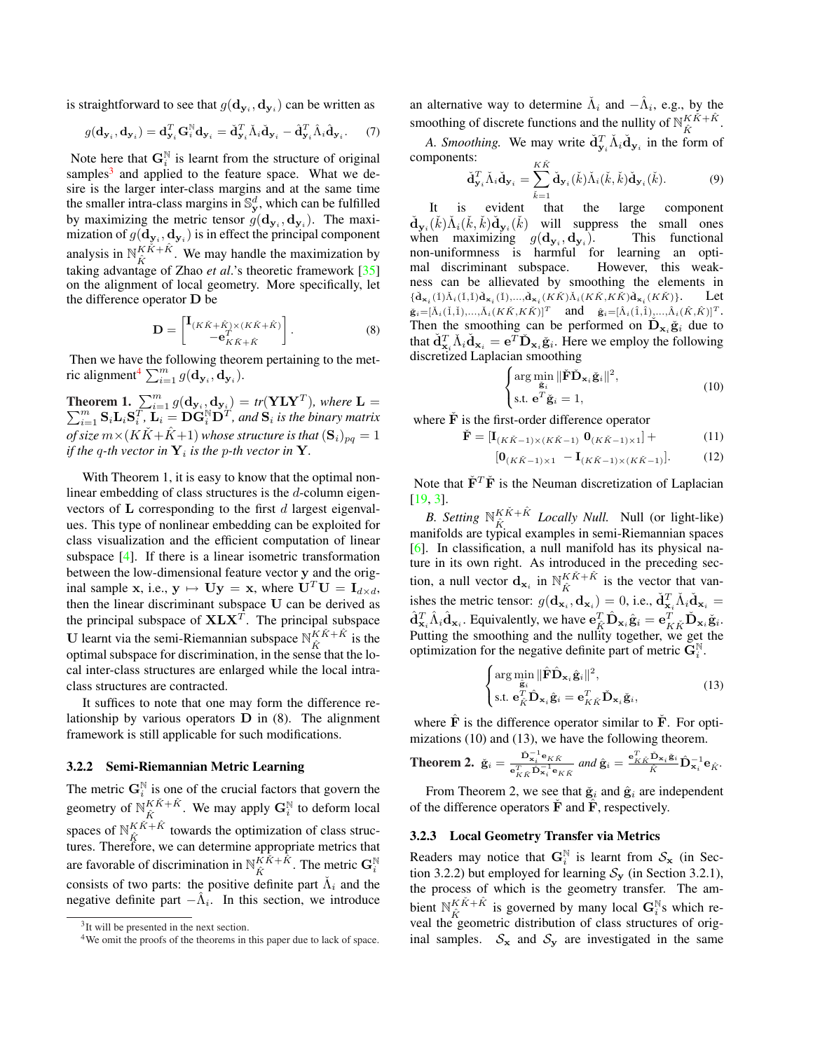is straightforward to see that  $g(\mathbf{d}_{\mathbf{y}_i}, \mathbf{d}_{\mathbf{y}_i})$  can be written as

$$
g(\mathbf{d}_{\mathbf{y}_i}, \mathbf{d}_{\mathbf{y}_i}) = \mathbf{d}_{\mathbf{y}_i}^T \mathbf{G}_i^{\mathbb{N}} \mathbf{d}_{\mathbf{y}_i} = \check{\mathbf{d}}_{\mathbf{y}_i}^T \check{\Lambda}_i \check{\mathbf{d}}_{\mathbf{y}_i} - \hat{\mathbf{d}}_{\mathbf{y}_i}^T \hat{\Lambda}_i \hat{\mathbf{d}}_{\mathbf{y}_i}.
$$
 (7)

Note here that  $G_i^{\mathbb{N}}$  is learnt from the structure of original samples $3$  and applied to the feature space. What we desire is the larger inter-class margins and at the same time the smaller intra-class margins in  $\mathbb{S}^d_y$ , which can be fulfilled by maximizing the metric tensor  $g(\mathbf{d}_{\mathbf{y}_i}, \mathbf{d}_{\mathbf{y}_i})$ . The maximization of  $g(\mathbf{d}_{\mathbf{y}_i},\mathbf{d}_{\mathbf{y}_i})$  is in effect the principal component analysis in  $\mathbb{N}_{\hat{K}}^{K\check{K}+\hat{K}}$  $K_{\hat{K}}^{K_{K+K}}$ . We may handle the maximization by taking advantage of Zhao *et al*.'s theoretic framework [35] on the alignment of local geometry. More specifically, let the difference operator D be

$$
\mathbf{D} = \begin{bmatrix} \mathbf{I}_{(K\tilde{K} + \hat{K}) \times (K\tilde{K} + \hat{K})} \\ -\mathbf{e}_{K\tilde{K} + \hat{K}}^T \end{bmatrix} . \tag{8}
$$

Then we have the following theorem pertaining to the metric alignment<sup>4</sup>  $\sum_{i=1}^{m} g(\mathbf{d}_{\mathbf{y}_i}, \mathbf{d}_{\mathbf{y}_i})$ .

**Theorem 1.**  $\sum_{i=1}^{m} g(\mathbf{d}_{\mathbf{y}_i}, \mathbf{d}_{\mathbf{y}_i}) = tr(\mathbf{YLY}^T)$  $\sum$ **heorem 1.**  $\sum_{i=1}^{m} g(\mathbf{d_{y_i}}, \mathbf{d_{y_i}}) = tr(\mathbf{YLY}^T)$ , where  $\mathbf{L} =$ <br> $\sum_{i=1}^{m} \mathbf{S}_i \mathbf{L}_i \mathbf{S}_i^T$ ,  $\mathbf{L}_i = \mathbf{D} \mathbf{G}_i^{\mathbb{N}} \mathbf{D}^T$ , and  $\mathbf{S}_i$  is the binary matrix *of size*  $m \times (K\tilde{K} + \tilde{K} + 1)$  *whose structure is that*  $({S_i})_{pq} = 1$ *if the q-th vector in*  $\mathbf{Y}_i$  *is the p-th vector in*  $\mathbf{Y}_i$ .

With Theorem 1, it is easy to know that the optimal nonlinear embedding of class structures is the d-column eigenvectors of  $L$  corresponding to the first  $d$  largest eigenvalues. This type of nonlinear embedding can be exploited for class visualization and the efficient computation of linear subspace [4]. If there is a linear isometric transformation between the low-dimensional feature vector y and the original sample x, i.e.,  $y \mapsto Uy = x$ , where  $U^T U = I_{d \times d}$ , then the linear discriminant subspace U can be derived as the principal subspace of  $X L X<sup>T</sup>$ . The principal subspace U learnt via the semi-Riemannian subspace  $\mathbb{N}_{\hat{r}}^{K\check{K}+\hat{K}}$  $\hat{K}^{K+K}$  is the optimal subspace for discrimination, in the sense that the local inter-class structures are enlarged while the local intraclass structures are contracted.

It suffices to note that one may form the difference relationship by various operators  $D$  in (8). The alignment framework is still applicable for such modifications.

### 3.2.2 Semi-Riemannian Metric Learning

The metric  $\mathbf{G}_i^{\mathbb{N}}$  is one of the crucial factors that govern the geometry of  $\mathbb{N}_{\hat{V}}^{K\check{K}+\hat{K}}$  $K\check{K}+\hat{K}$ . We may apply  $\mathbf{G}_{i}^{N}$  to deform local spaces of  $\mathbb{N}_{\hat{K}}^{K\check{K}+\hat{K}}$  towards the optimization of class strucspaces of  $N_{\hat{K}}$  towards the optimization of class structures. Therefore, we can determine appropriate metrics that are favorable of discrimination in  $\mathbb{N}_{\hat{r}}^{K\check{K}+\hat{K}}$  $K\tilde{K}+\tilde{K}$ . The metric  $\mathbf{G}_i^{\mathbb{N}}$ consists of two parts: the positive definite part  $\check{\Lambda}_i$  and the negative definite part  $-\hat{\Lambda}_i$ . In this section, we introduce an alternative way to determine  $\check{\Lambda}_i$  and  $-\hat{\Lambda}_i$ , e.g., by the smoothing of discrete functions and the nullity of  $\mathbb{N}_{\hat{r}}^{K\check{K}+\hat{K}}$  $\frac{K}{K}$   $\kappa$   $+$   $\kappa$  .

*A. Smoothing.* We may write  $\check{d}^T_{y_i} \check{\Lambda}_i \check{d}_{y_i}$  in the form of components:  $\nu \tilde{\nu}$ 

$$
\check{\mathbf{d}}_{\mathbf{y}_i}^T \check{\Lambda}_i \check{\mathbf{d}}_{\mathbf{y}_i} = \sum_{\check{k}=1}^{\check{\mathbf{\Lambda}}}\check{\mathbf{d}}_{\mathbf{y}_i}(\check{k})\check{\Lambda}_i(\check{k},\check{k})\check{\mathbf{d}}_{\mathbf{y}_i}(\check{k}).\tag{9}
$$

It is evident that the large component  $\check{\mathbf{d}}_{\mathbf{y}_i}(\check{k})\check{\Lambda}_i(\check{k},\check{k})\check{\mathbf{d}}_{\mathbf{y}_i}(\check{k})$  will suppress the small ones when maximizing  $g(\mathbf{d}_{\mathbf{y}_i}, \mathbf{d}_{\mathbf{y}_i})$ ). This functional non-uniformness is harmful for learning an optimal discriminant subspace. However, this weakness can be allievated by smoothing the elements in  $\{\check{d}_{\mathbf{x}_i}(\check{1})\check{\Lambda}_i(\check{1},\check{1})\check{d}_{\mathbf{x}_i}(\check{1}),...,\check{d}_{\mathbf{x}_i}(K\check{K})\check{\Lambda}_i(K\check{K},K\check{K})\check{d}_{\mathbf{x}_i}(K\check{K})\}.$  Let  $\check{\mathbf{g}}_i=[\check{\Lambda}_i(\check{1},\check{1}),...,\check{\Lambda}_i(K\check{K},K\check{K})]^T$  and  $\hat{\mathbf{g}}_i=[\hat{\Lambda}_i(\hat{1},\hat{1}),...,\hat{\Lambda}_i(\hat{K},\hat{K})]^T$ . Then the smoothing can be performed on  $\mathbf{D}_{\mathbf{x}_i} \tilde{\mathbf{g}}_i$  due to that  $\check{d}^T_{\mathbf{x}_i} \check{\Lambda}_i \check{d}_{\mathbf{x}_i} = e^T \check{\mathbf{D}}_{\mathbf{x}_i} \check{\mathbf{g}}_i$ . Here we employ the following discretized Laplacian smoothing

$$
\begin{cases}\n\arg\min_{\tilde{\mathbf{g}}_i} \|\check{\mathbf{F}}\check{\mathbf{D}}_{\mathbf{x}_i}\check{\mathbf{g}}_i\|^2, \\
\text{s.t. } \mathbf{e}^T \check{\mathbf{g}}_i = 1,\n\end{cases} \tag{10}
$$

where  $\dot{\mathbf{F}}$  is the first-order difference operator

$$
\check{\mathbf{F}} = [\mathbf{I}_{(K\check{K}-1)\times (K\check{K}-1)} \ \mathbf{0}_{(K\check{K}-1)\times 1}] + \tag{11}
$$

$$
[\mathbf{0}_{(K\check{K}-1)\times 1} - \mathbf{I}_{(K\check{K}-1)\times (K\check{K}-1)}]. \tag{12}
$$

Note that  $\check{\mathbf{F}}^T\check{\mathbf{F}}$  is the Neuman discretization of Laplacian [19, 3].

*B.* Setting  $\mathbb{N}_{\hat{V}}^{K\check{K}+\hat{K}}$  $K_{\hat{K}}^{K,K+K}$  *Locally Null.* Null (or light-like) manifolds are typical examples in semi-Riemannian spaces [6]. In classification, a null manifold has its physical nature in its own right. As introduced in the preceding section, a null vector  $\mathbf{d}_{\mathbf{x}_i}$  in  $\mathbb{N}_{\hat{\kappa}}^{K\check{K}+\hat{K}}$  $K^{K+K}$  is the vector that vanishes the metric tensor:  $g(\mathbf{d}_{\mathbf{x}_i}, \mathbf{d}_{\mathbf{x}_i}) = 0$ , i.e.,  $\dot{\mathbf{d}}_{\mathbf{x}_i}^T \dot{\Lambda}_i \dot{\mathbf{d}}_{\mathbf{x}_i} =$  $\hat{\mathbf{d}}_{\mathbf{x}_i}^T \hat{\Lambda}_i \hat{\mathbf{d}}_{\mathbf{x}_i}$ . Equivalently, we have  $\mathbf{e}_{\hat{K}}^T \hat{\mathbf{D}}_{\mathbf{x}_i} \hat{\mathbf{g}}_i = \mathbf{e}_{K\check{K}}^T \check{\mathbf{D}}_{\mathbf{x}_i} \check{\mathbf{g}}_i$ . Putting the smoothing and the nullity together, we get the optimization for the negative definite part of metric  $\mathbf{G}_i^{\mathbb{N}}$ .

$$
\begin{cases}\n\arg\min_{\hat{\mathbf{g}}_i} \|\hat{\mathbf{F}}\hat{\mathbf{D}}_{\mathbf{x}_i}\hat{\mathbf{g}}_i\|^2, \\
\text{s.t. } \mathbf{e}_{\hat{K}}^T \hat{\mathbf{D}}_{\mathbf{x}_i}\hat{\mathbf{g}}_i = \mathbf{e}_{K\hat{K}}^T \check{\mathbf{D}}_{\mathbf{x}_i}\check{\mathbf{g}}_i,\n\end{cases} (13)
$$

where  $\hat{F}$  is the difference operator similar to  $\hat{F}$ . For optimizations (10) and (13), we have the following theorem.

**Theorem 2.** 
$$
\check{\mathbf{g}}_i = \frac{\check{\mathbf{p}}_{\mathbf{x}_i}^{-1} \mathbf{e}_{\mathbf{K}\check{\mathbf{K}}}}{\mathbf{e}_{\mathbf{K}\check{\mathbf{K}}}\mathbf{b}_{\mathbf{x}_i}^{-1} \mathbf{e}_{\mathbf{K}\check{\mathbf{K}}}} \text{ and } \hat{\mathbf{g}}_i = \frac{\mathbf{e}_{\mathbf{K}\check{\mathbf{K}}}\check{\mathbf{D}}_{\mathbf{x}_i}\check{\mathbf{g}}_i}{\hat{\mathbf{K}}}\hat{\mathbf{D}}_{\mathbf{x}_i}^{-1} \mathbf{e}_{\hat{\mathbf{K}}}.
$$

From Theorem 2, we see that  $\check{g}_i$  and  $\hat{g}_i$  are independent of the difference operators  $\tilde{F}$  and  $\tilde{F}$ , respectively.

### 3.2.3 Local Geometry Transfer via Metrics

Readers may notice that  $G_i^{\mathbb{N}}$  is learnt from  $S_{\mathbf{x}}$  (in Section 3.2.2) but employed for learning  $S_y$  (in Section 3.2.1), the process of which is the geometry transfer. The ambient  $\mathbb{N}_{\hat{V}}^{K\check{K}+\hat{K}}$  $K\tilde{K}+\tilde{K}$  is governed by many local  $\mathbf{G}_i^{\mathbb{N}}$ s which reveal the geometric distribution of class structures of original samples.  $S_x$  and  $S_y$  are investigated in the same

<sup>&</sup>lt;sup>3</sup>It will be presented in the next section.

<sup>&</sup>lt;sup>4</sup>We omit the proofs of the theorems in this paper due to lack of space.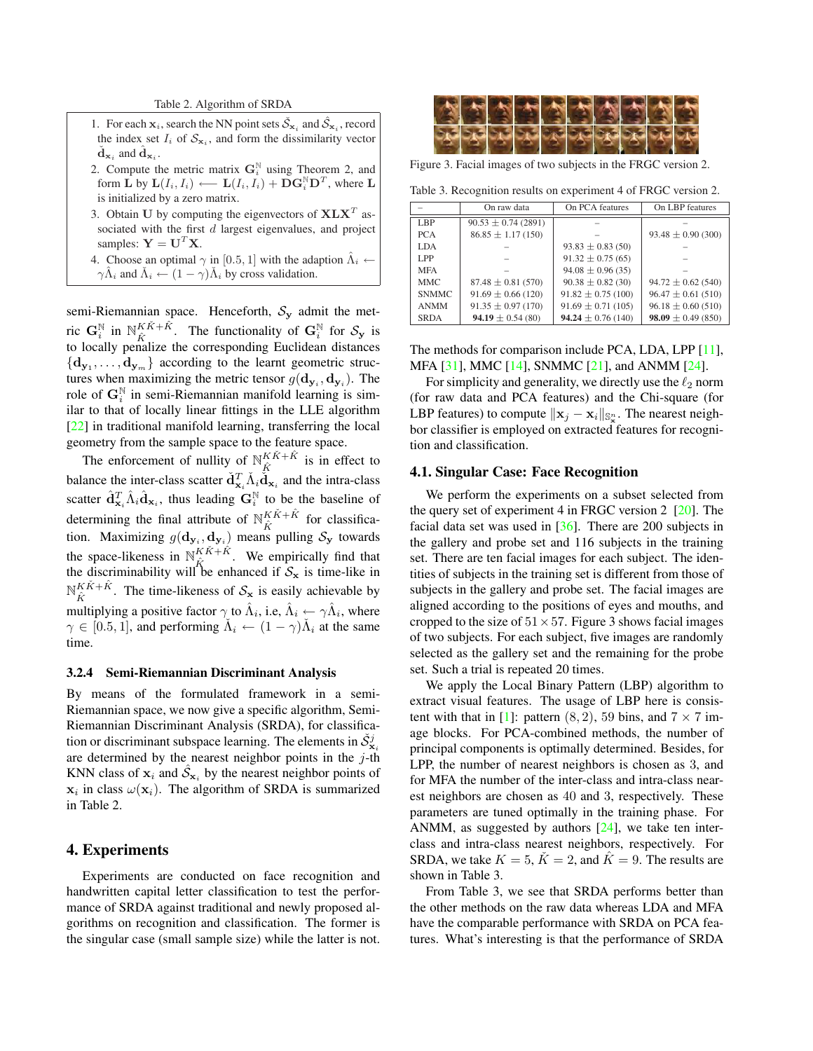Table 2. Algorithm of SRDA

- 1. For each  $x_i$ , search the NN point sets  $\check{S}_{x_i}$  and  $\hat{S}_{x_i}$ , record the index set  $I_i$  of  $S_{\mathbf{x}_i}$ , and form the dissimilarity vector  $\check{d}_{\mathbf{x}_i}$  and  $\hat{d}_{\mathbf{x}_i}$ .
- 2. Compute the metric matrix  $G_i^N$  using Theorem 2, and form  $\hat{\mathbf{L}}$  by  $\mathbf{L}(I_i, I_i) \longleftarrow \mathbf{L}(I_i, I_i) + \hat{\mathbf{D}} \mathbf{G}_i^{\mathbb{N}} \mathbf{D}^T$ , where  $\mathbf{L}$ is initialized by a zero matrix.
- 3. Obtain U by computing the eigenvectors of  $X L X<sup>T</sup>$  associated with the first  $d$  largest eigenvalues, and project samples:  $Y = U^T X$ .
- 4. Choose an optimal  $\gamma$  in [0.5, 1] with the adaption  $\hat{\Lambda}_i \leftarrow$  $\gamma \hat{\Lambda}_i$  and  $\check{\Lambda}_i \leftarrow (1 - \gamma) \check{\Lambda}_i$  by cross validation.

semi-Riemannian space. Henceforth,  $S_y$  admit the metric  $\mathbf{G}_i^{\mathbb{N}}$  in  $\mathbb{N}_{\hat{K}}^{K\check{K}+\hat{K}}$  $K\tilde{K}+\tilde{K}$ . The functionality of  $\mathbf{G}_i^{\mathbb{N}}$  for  $\mathcal{S}_{\mathbf{y}}$  is to locally penalize the corresponding Euclidean distances  ${d_{y_1}, \ldots, d_{y_m}}$  according to the learnt geometric structures when maximizing the metric tensor  $g(\mathbf{d}_{\mathbf{y}_i}, \mathbf{d}_{\mathbf{y}_i})$ . The role of  $\mathbf{G}_i^N$  in semi-Riemannian manifold learning is similar to that of locally linear fittings in the LLE algorithm [22] in traditional manifold learning, transferring the local geometry from the sample space to the feature space.

The enforcement of nullity of  $\mathbb{N}_{\hat{K}}^{K\check{K}+\hat{K}}$  $\frac{K}{\hat{K}}^{K+K}$  is in effect to balance the inter-class scatter  $\check{d}^T_{\mathbf{x}_i} \check{\Lambda}_i \check{\check{d}}_{\mathbf{x}_i}$  and the intra-class scatter  $\hat{\mathbf{d}}_{\mathbf{x}_i}^T \hat{\Lambda}_i \hat{\mathbf{d}}_{\mathbf{x}_i}$ , thus leading  $\mathbf{G}_i^{\mathbb{N}}$  to be the baseline of determining the final attribute of  $N_{\hat{V}}^{K\check{K}+\hat{K}}$  $\frac{K}{K}$ <sup>K</sup> for classification. Maximizing  $g(\mathbf{d}_{\mathbf{y}_i}, \mathbf{d}_{\mathbf{y}_i})$  means pulling  $\mathcal{S}_{\mathbf{y}}$  towards the space-likeness in  $\mathbb{N}_{\hat{V}}^{K\check{K}+\hat{K}}$ . We empirically find that the space-increases in  $\mathbb{F}_{\hat{K}}$  is we empirically find that the discriminability will be enhanced if  $S_x$  is time-like in  ${\mathbb N}^{K\check K+\hat K}_{-}$  $K_{\hat{K}}^{K,K+K}$ . The time-likeness of  $S_{\bf x}$  is easily achievable by multiplying a positive factor  $\gamma$  to  $\hat{\Lambda}_i$ , i.e,  $\hat{\Lambda}_i \leftarrow \gamma \hat{\Lambda}_i$ , where  $\gamma \in [0.5, 1]$ , and performing  $\tilde{\Lambda}_i \leftarrow (1 - \gamma) \tilde{\Lambda}_i$  at the same time.

### 3.2.4 Semi-Riemannian Discriminant Analysis

By means of the formulated framework in a semi-Riemannian space, we now give a specific algorithm, Semi-Riemannian Discriminant Analysis (SRDA), for classification or discriminant subspace learning. The elements in  $\check{\mathcal{S}}^j_{\mathbf{x}_i}$ are determined by the nearest neighbor points in the  $j$ -th KNN class of  $x_i$  and  $\hat{S}_{x_i}$  by the nearest neighbor points of  $x_i$  in class  $\omega(x_i)$ . The algorithm of SRDA is summarized in Table 2.

# 4. Experiments

Experiments are conducted on face recognition and handwritten capital letter classification to test the performance of SRDA against traditional and newly proposed algorithms on recognition and classification. The former is the singular case (small sample size) while the latter is not.



Figure 3. Facial images of two subjects in the FRGC version 2.

Table 3. Recognition results on experiment 4 of FRGC version 2.

|              | On raw data             | On PCA features        | On LBP features        |
|--------------|-------------------------|------------------------|------------------------|
| LBP          | $90.53 \pm 0.74$ (2891) |                        |                        |
| <b>PCA</b>   | $86.85 \pm 1.17(150)$   |                        | $93.48 \pm 0.90(300)$  |
| LDA.         |                         | $93.83 \pm 0.83$ (50)  |                        |
| LPP          |                         | $91.32 \pm 0.75(65)$   |                        |
| <b>MFA</b>   |                         | $94.08 \pm 0.96(35)$   |                        |
| <b>MMC</b>   | $87.48 \pm 0.81(570)$   | $90.38 \pm 0.82$ (30)  | $94.72 \pm 0.62$ (540) |
| <b>SNMMC</b> | $91.69 \pm 0.66$ (120)  | $91.82 \pm 0.75$ (100) | $96.47 \pm 0.61(510)$  |
| <b>ANMM</b>  | $91.35 \pm 0.97$ (170)  | $91.69 \pm 0.71(105)$  | $96.18 \pm 0.60(510)$  |
| <b>SRDA</b>  | 94.19 $\pm$ 0.54 (80)   | $94.24 \pm 0.76(140)$  | $98.09 \pm 0.49(850)$  |

The methods for comparison include PCA, LDA, LPP [11], MFA [31], MMC [14], SNMMC [21], and ANMM [24].

For simplicity and generality, we directly use the  $\ell_2$  norm (for raw data and PCA features) and the Chi-square (for LBP features) to compute  $\|\mathbf{x}_j - \mathbf{x}_i\|_{\mathbb{S}_{\mathbf{x}}^n}$ . The nearest neighbor classifier is employed on extracted features for recognition and classification.

### 4.1. Singular Case: Face Recognition

We perform the experiments on a subset selected from the query set of experiment 4 in FRGC version 2 [20]. The facial data set was used in [36]. There are 200 subjects in the gallery and probe set and 116 subjects in the training set. There are ten facial images for each subject. The identities of subjects in the training set is different from those of subjects in the gallery and probe set. The facial images are aligned according to the positions of eyes and mouths, and cropped to the size of  $51 \times 57$ . Figure 3 shows facial images of two subjects. For each subject, five images are randomly selected as the gallery set and the remaining for the probe set. Such a trial is repeated 20 times.

We apply the Local Binary Pattern (LBP) algorithm to extract visual features. The usage of LBP here is consistent with that in [1]: pattern  $(8, 2)$ , 59 bins, and  $7 \times 7$  image blocks. For PCA-combined methods, the number of principal components is optimally determined. Besides, for LPP, the number of nearest neighbors is chosen as 3, and for MFA the number of the inter-class and intra-class nearest neighbors are chosen as 40 and 3, respectively. These parameters are tuned optimally in the training phase. For ANMM, as suggested by authors [24], we take ten interclass and intra-class nearest neighbors, respectively. For SRDA, we take  $K = 5$ ,  $\check{K} = 2$ , and  $\hat{K} = 9$ . The results are shown in Table 3.

From Table 3, we see that SRDA performs better than the other methods on the raw data whereas LDA and MFA have the comparable performance with SRDA on PCA features. What's interesting is that the performance of SRDA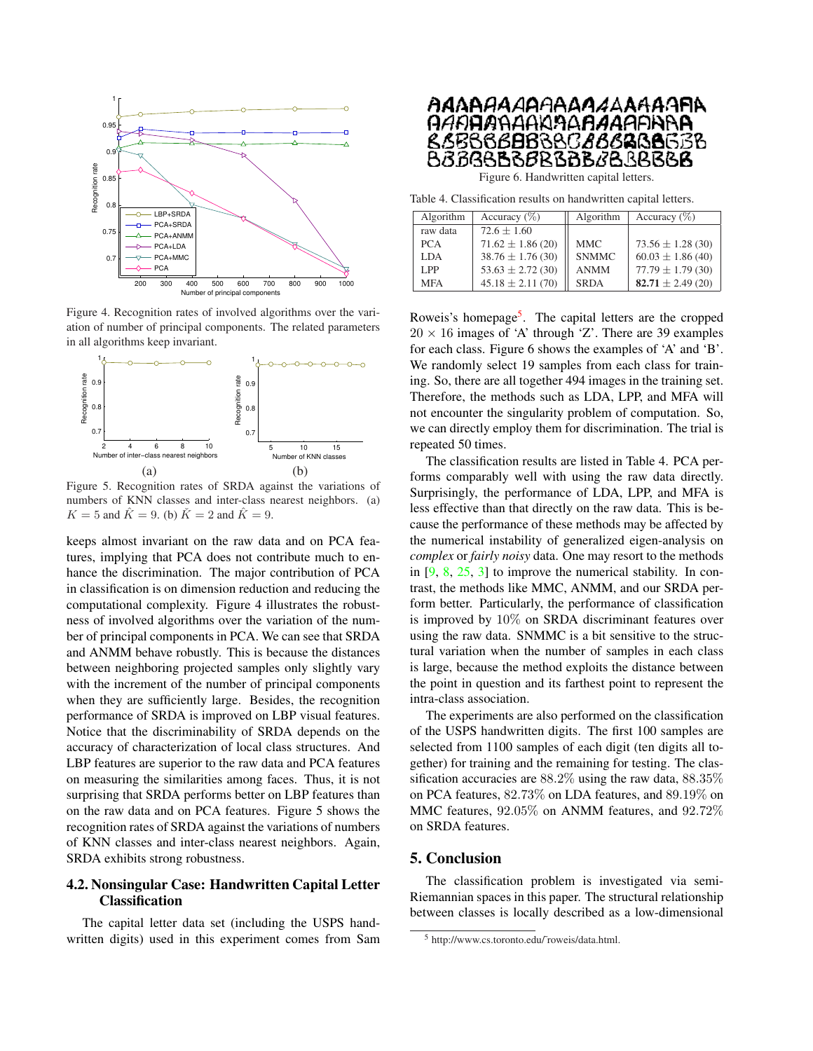

Figure 4. Recognition rates of involved algorithms over the variation of number of principal components. The related parameters in all algorithms keep invariant.



Figure 5. Recognition rates of SRDA against the variations of numbers of KNN classes and inter-class nearest neighbors. (a)  $K = 5$  and  $\hat{K} = 9$ . (b)  $\check{K} = 2$  and  $\hat{K} = 9$ .

keeps almost invariant on the raw data and on PCA features, implying that PCA does not contribute much to enhance the discrimination. The major contribution of PCA in classification is on dimension reduction and reducing the computational complexity. Figure 4 illustrates the robustness of involved algorithms over the variation of the number of principal components in PCA. We can see that SRDA and ANMM behave robustly. This is because the distances between neighboring projected samples only slightly vary with the increment of the number of principal components when they are sufficiently large. Besides, the recognition performance of SRDA is improved on LBP visual features. Notice that the discriminability of SRDA depends on the accuracy of characterization of local class structures. And LBP features are superior to the raw data and PCA features on measuring the similarities among faces. Thus, it is not surprising that SRDA performs better on LBP features than on the raw data and on PCA features. Figure 5 shows the recognition rates of SRDA against the variations of numbers of KNN classes and inter-class nearest neighbors. Again, SRDA exhibits strong robustness.

# 4.2. Nonsingular Case: Handwritten Capital Letter Classification

The capital letter data set (including the USPS handwritten digits) used in this experiment comes from Sam



Figure 6. Handwritten capital letters.

Table 4. Classification results on handwritten capital letters.

| Algorithm  | Accuracy $(\%)$      | Algorithm    | Accuracy $(\%)$       |
|------------|----------------------|--------------|-----------------------|
| raw data   | $72.6 + 1.60$        |              |                       |
| <b>PCA</b> | $71.62 \pm 1.86(20)$ | <b>MMC</b>   | $73.56 \pm 1.28$ (30) |
| <b>LDA</b> | $38.76 \pm 1.76(30)$ | <b>SNMMC</b> | $60.03 \pm 1.86$ (40) |
| LPP        | $53.63 \pm 2.72(30)$ | <b>ANMM</b>  | $77.79 \pm 1.79(30)$  |
| <b>MFA</b> | $45.18 \pm 2.11(70)$ | <b>SRDA</b>  | $82.71 \pm 2.49(20)$  |

Roweis's homepage<sup>5</sup>. The capital letters are the cropped  $20 \times 16$  images of 'A' through 'Z'. There are 39 examples for each class. Figure 6 shows the examples of 'A' and 'B'. We randomly select 19 samples from each class for training. So, there are all together 494 images in the training set. Therefore, the methods such as LDA, LPP, and MFA will not encounter the singularity problem of computation. So, we can directly employ them for discrimination. The trial is repeated 50 times.

The classification results are listed in Table 4. PCA performs comparably well with using the raw data directly. Surprisingly, the performance of LDA, LPP, and MFA is less effective than that directly on the raw data. This is because the performance of these methods may be affected by the numerical instability of generalized eigen-analysis on *complex* or *fairly noisy* data. One may resort to the methods in  $[9, 8, 25, 3]$  to improve the numerical stability. In contrast, the methods like MMC, ANMM, and our SRDA perform better. Particularly, the performance of classification is improved by 10% on SRDA discriminant features over using the raw data. SNMMC is a bit sensitive to the structural variation when the number of samples in each class is large, because the method exploits the distance between the point in question and its farthest point to represent the intra-class association.

The experiments are also performed on the classification of the USPS handwritten digits. The first 100 samples are selected from 1100 samples of each digit (ten digits all together) for training and the remaining for testing. The classification accuracies are 88.2% using the raw data, 88.35% on PCA features, 82.73% on LDA features, and 89.19% on MMC features, 92.05% on ANMM features, and 92.72% on SRDA features.

### 5. Conclusion

The classification problem is investigated via semi-Riemannian spaces in this paper. The structural relationship between classes is locally described as a low-dimensional

<sup>5</sup> http://www.cs.toronto.edu/˜roweis/data.html.